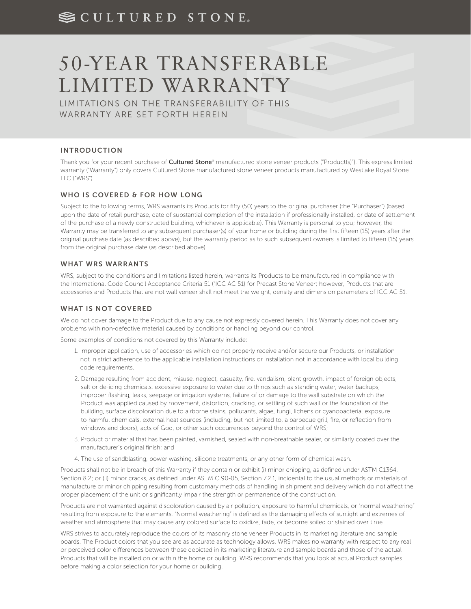# SCULTURED STONE.

# 50-YEAR TRANSFERABLE LIMITED WARRANTY

LIMITATIONS ON THE TRANSFERABILITY OF THIS WARRANTY ARE SET FORTH HEREIN

## INTRODUCTION

Thank you for your recent purchase of **Cultured Stone®** manufactured stone veneer products ("Product(s)"). This express limited warranty ("Warranty") only covers Cultured Stone manufactured stone veneer products manufactured by Westlake Royal Stone LLC ("WRS").

#### WHO IS COVERED & FOR HOW LONG

Subject to the following terms, WRS warrants its Products for fifty (50) years to the original purchaser (the "Purchaser") (based upon the date of retail purchase, date of substantial completion of the installation if professionally installed, or date of settlement of the purchase of a newly constructed building, whichever is applicable). This Warranty is personal to you; however, the Warranty may be transferred to any subsequent purchaser(s) of your home or building during the first fifteen (15) years after the original purchase date (as described above), but the warranty period as to such subsequent owners is limited to fifteen (15) years from the original purchase date (as described above).

#### WHAT WRS WARRANTS

WRS, subject to the conditions and limitations listed herein, warrants its Products to be manufactured in compliance with the International Code Council Acceptance Criteria 51 ("ICC AC 51) for Precast Stone Veneer; however, Products that are accessories and Products that are not wall veneer shall not meet the weight, density and dimension parameters of ICC AC 51.

## WHAT IS NOT COVERED

We do not cover damage to the Product due to any cause not expressly covered herein. This Warranty does not cover any problems with non-defective material caused by conditions or handling beyond our control.

Some examples of conditions not covered by this Warranty include:

- 1. Improper application, use of accessories which do not properly receive and/or secure our Products, or installation not in strict adherence to the applicable installation instructions or installation not in accordance with local building code requirements.
- 2. Damage resulting from accident, misuse, neglect, casualty, fire, vandalism, plant growth, impact of foreign objects, salt or de-icing chemicals, excessive exposure to water due to things such as standing water, water backups, improper flashing, leaks, seepage or irrigation systems, failure of or damage to the wall substrate on which the Product was applied caused by movement, distortion, cracking, or settling of such wall or the foundation of the building, surface discoloration due to airborne stains, pollutants, algae, fungi, lichens or cyanobacteria, exposure to harmful chemicals, external heat sources (including, but not limited to, a barbecue grill, fire, or reflection from windows and doors), acts of God, or other such occurrences beyond the control of WRS;
- 3. Product or material that has been painted, varnished, sealed with non-breathable sealer, or similarly coated over the manufacturer's original finish; and
- 4. The use of sandblasting, power washing, silicone treatments, or any other form of chemical wash.

Products shall not be in breach of this Warranty if they contain or exhibit (i) minor chipping, as defined under ASTM C1364, Section 8.2; or (ii) minor cracks, as defined under ASTM C 90-05, Section 7.2.1, incidental to the usual methods or materials of manufacture or minor chipping resulting from customary methods of handling in shipment and delivery which do not affect the proper placement of the unit or significantly impair the strength or permanence of the construction.

Products are not warranted against discoloration caused by air pollution, exposure to harmful chemicals, or "normal weathering" resulting from exposure to the elements. "Normal weathering" is defined as the damaging effects of sunlight and extremes of weather and atmosphere that may cause any colored surface to oxidize, fade, or become soiled or stained over time.

WRS strives to accurately reproduce the colors of its masonry stone veneer Products in its marketing literature and sample boards. The Product colors that you see are as accurate as technology allows. WRS makes no warranty with respect to any real or perceived color differences between those depicted in its marketing literature and sample boards and those of the actual Products that will be installed on or within the home or building. WRS recommends that you look at actual Product samples before making a color selection for your home or building.